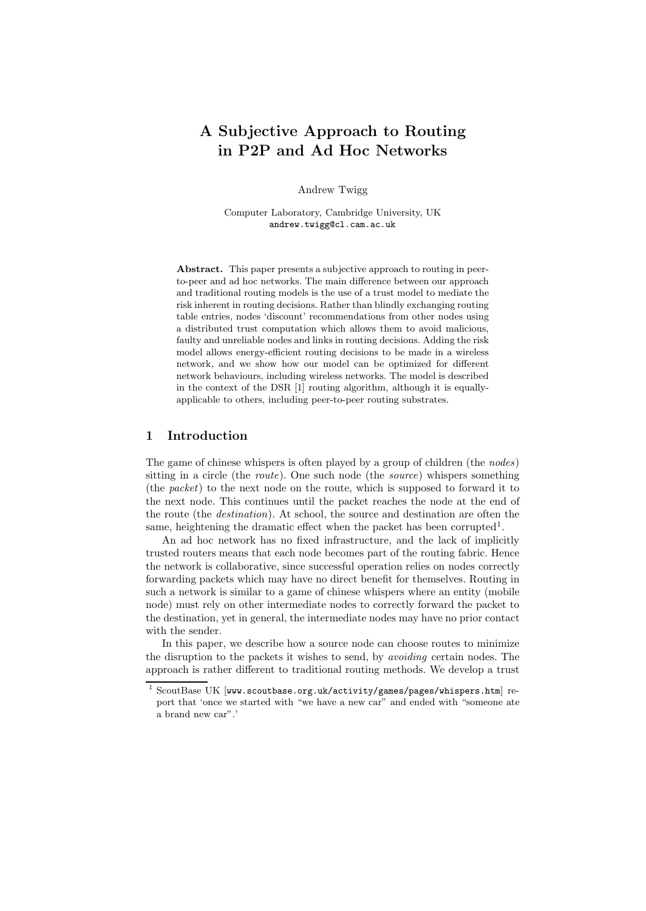# A Subjective Approach to Routing in P2P and Ad Hoc Networks

Andrew Twigg

Computer Laboratory, Cambridge University, UK andrew.twigg@cl.cam.ac.uk

Abstract. This paper presents a subjective approach to routing in peerto-peer and ad hoc networks. The main difference between our approach and traditional routing models is the use of a trust model to mediate the risk inherent in routing decisions. Rather than blindly exchanging routing table entries, nodes 'discount' recommendations from other nodes using a distributed trust computation which allows them to avoid malicious, faulty and unreliable nodes and links in routing decisions. Adding the risk model allows energy-efficient routing decisions to be made in a wireless network, and we show how our model can be optimized for different network behaviours, including wireless networks. The model is described in the context of the DSR [1] routing algorithm, although it is equallyapplicable to others, including peer-to-peer routing substrates.

# 1 Introduction

The game of chinese whispers is often played by a group of children (the nodes) sitting in a circle (the *route*). One such node (the *source*) whispers something (the packet) to the next node on the route, which is supposed to forward it to the next node. This continues until the packet reaches the node at the end of the route (the destination). At school, the source and destination are often the same, heightening the dramatic effect when the packet has been corrupted<sup>1</sup>.

An ad hoc network has no fixed infrastructure, and the lack of implicitly trusted routers means that each node becomes part of the routing fabric. Hence the network is collaborative, since successful operation relies on nodes correctly forwarding packets which may have no direct benefit for themselves. Routing in such a network is similar to a game of chinese whispers where an entity (mobile node) must rely on other intermediate nodes to correctly forward the packet to the destination, yet in general, the intermediate nodes may have no prior contact with the sender.

In this paper, we describe how a source node can choose routes to minimize the disruption to the packets it wishes to send, by *avoiding* certain nodes. The approach is rather different to traditional routing methods. We develop a trust

 $^{\rm 1}$  ScoutBase UK [www.scoutbase.org.uk/activity/games/pages/whispers.htm] report that 'once we started with "we have a new car" and ended with "someone ate a brand new car".'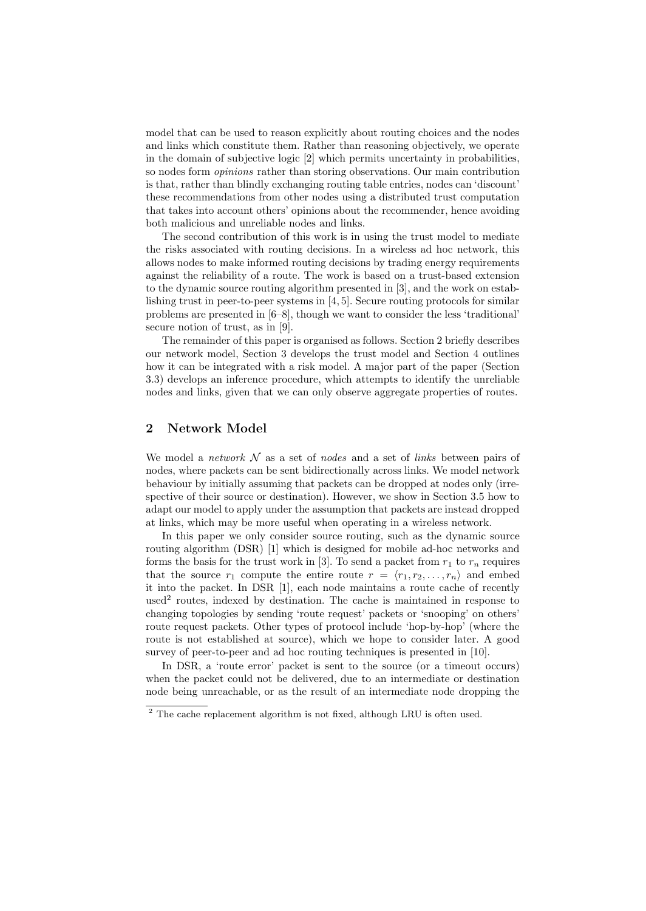model that can be used to reason explicitly about routing choices and the nodes and links which constitute them. Rather than reasoning objectively, we operate in the domain of subjective logic [2] which permits uncertainty in probabilities, so nodes form opinions rather than storing observations. Our main contribution is that, rather than blindly exchanging routing table entries, nodes can 'discount' these recommendations from other nodes using a distributed trust computation that takes into account others' opinions about the recommender, hence avoiding both malicious and unreliable nodes and links.

The second contribution of this work is in using the trust model to mediate the risks associated with routing decisions. In a wireless ad hoc network, this allows nodes to make informed routing decisions by trading energy requirements against the reliability of a route. The work is based on a trust-based extension to the dynamic source routing algorithm presented in [3], and the work on establishing trust in peer-to-peer systems in [4, 5]. Secure routing protocols for similar problems are presented in [6–8], though we want to consider the less 'traditional' secure notion of trust, as in [9].

The remainder of this paper is organised as follows. Section 2 briefly describes our network model, Section 3 develops the trust model and Section 4 outlines how it can be integrated with a risk model. A major part of the paper (Section 3.3) develops an inference procedure, which attempts to identify the unreliable nodes and links, given that we can only observe aggregate properties of routes.

### 2 Network Model

We model a *network*  $\mathcal N$  as a set of *nodes* and a set of *links* between pairs of nodes, where packets can be sent bidirectionally across links. We model network behaviour by initially assuming that packets can be dropped at nodes only (irrespective of their source or destination). However, we show in Section 3.5 how to adapt our model to apply under the assumption that packets are instead dropped at links, which may be more useful when operating in a wireless network.

In this paper we only consider source routing, such as the dynamic source routing algorithm (DSR) [1] which is designed for mobile ad-hoc networks and forms the basis for the trust work in [3]. To send a packet from  $r_1$  to  $r_n$  requires that the source  $r_1$  compute the entire route  $r = \langle r_1, r_2, \ldots, r_n \rangle$  and embed it into the packet. In DSR [1], each node maintains a route cache of recently used<sup>2</sup> routes, indexed by destination. The cache is maintained in response to changing topologies by sending 'route request' packets or 'snooping' on others' route request packets. Other types of protocol include 'hop-by-hop' (where the route is not established at source), which we hope to consider later. A good survey of peer-to-peer and ad hoc routing techniques is presented in [10].

In DSR, a 'route error' packet is sent to the source (or a timeout occurs) when the packet could not be delivered, due to an intermediate or destination node being unreachable, or as the result of an intermediate node dropping the

<sup>&</sup>lt;sup>2</sup> The cache replacement algorithm is not fixed, although LRU is often used.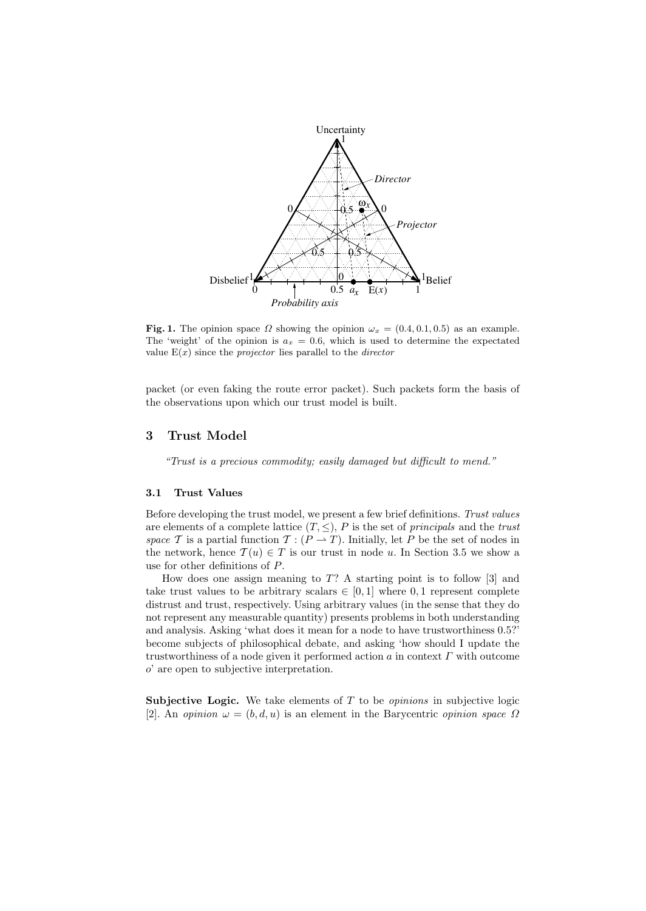

Fig. 1. The opinion space  $\Omega$  showing the opinion  $\omega_x = (0.4, 0.1, 0.5)$  as an example. The 'weight' of the opinion is  $a_x = 0.6$ , which is used to determine the expectated value  $E(x)$  since the *projector* lies parallel to the *director* 

packet (or even faking the route error packet). Such packets form the basis of the observations upon which our trust model is built.

## 3 Trust Model

"Trust is a precious commodity; easily damaged but difficult to mend."

### 3.1 Trust Values

Before developing the trust model, we present a few brief definitions. Trust values are elements of a complete lattice  $(T, \leq), P$  is the set of *principals* and the *trust* space T is a partial function  $T : (P \to T)$ . Initially, let P be the set of nodes in the network, hence  $\mathcal{T}(u) \in T$  is our trust in node u. In Section 3.5 we show a use for other definitions of P.

How does one assign meaning to  $T$ ? A starting point is to follow [3] and take trust values to be arbitrary scalars  $\in [0,1]$  where 0, 1 represent complete distrust and trust, respectively. Using arbitrary values (in the sense that they do not represent any measurable quantity) presents problems in both understanding and analysis. Asking 'what does it mean for a node to have trustworthiness 0.5?' become subjects of philosophical debate, and asking 'how should I update the trustworthiness of a node given it performed action  $a$  in context  $\Gamma$  with outcome o' are open to subjective interpretation.

**Subjective Logic.** We take elements of  $T$  to be *opinions* in subjective logic [2]. An opinion  $\omega = (b, d, u)$  is an element in the Barycentric opinion space  $\Omega$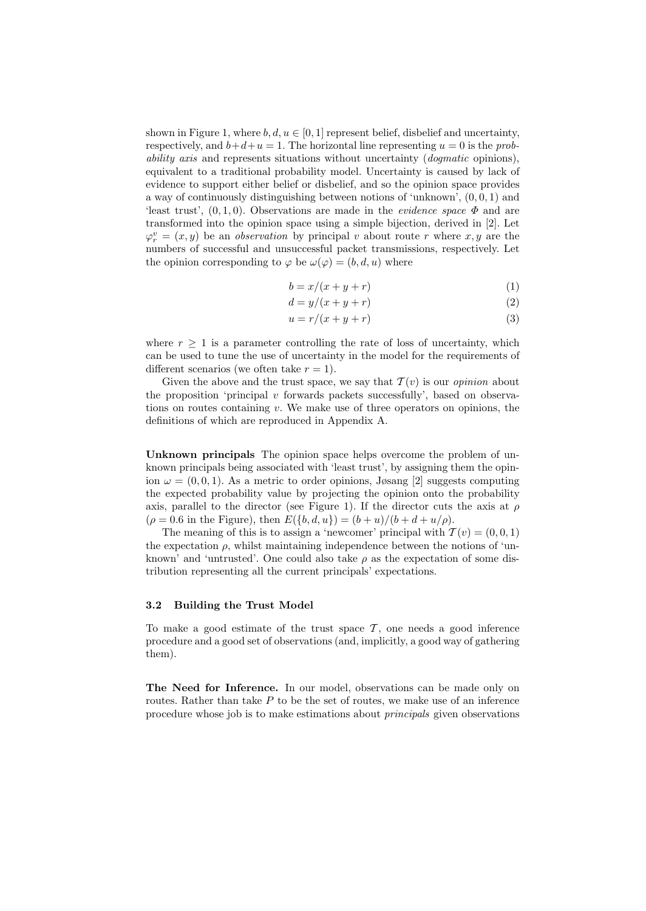shown in Figure 1, where  $b, d, u \in [0, 1]$  represent belief, disbelief and uncertainty, respectively, and  $b+d+u=1$ . The horizontal line representing  $u=0$  is the probability axis and represents situations without uncertainty (dogmatic opinions), equivalent to a traditional probability model. Uncertainty is caused by lack of evidence to support either belief or disbelief, and so the opinion space provides a way of continuously distinguishing between notions of 'unknown',  $(0, 0, 1)$  and 'least trust',  $(0, 1, 0)$ . Observations are made in the *evidence space*  $\Phi$  and are transformed into the opinion space using a simple bijection, derived in [2]. Let  $\varphi_r^v = (x, y)$  be an *observation* by principal v about route r where x, y are the numbers of successful and unsuccessful packet transmissions, respectively. Let the opinion corresponding to  $\varphi$  be  $\omega(\varphi) = (b, d, u)$  where

$$
b = x/(x + y + r) \tag{1}
$$

$$
d = y/(x + y + r) \tag{2}
$$

$$
u = r/(x + y + r) \tag{3}
$$

where  $r \geq 1$  is a parameter controlling the rate of loss of uncertainty, which can be used to tune the use of uncertainty in the model for the requirements of different scenarios (we often take  $r = 1$ ).

Given the above and the trust space, we say that  $\mathcal{T}(v)$  is our *opinion* about the proposition 'principal  $v$  forwards packets successfully', based on observations on routes containing  $v$ . We make use of three operators on opinions, the definitions of which are reproduced in Appendix A.

Unknown principals The opinion space helps overcome the problem of unknown principals being associated with 'least trust', by assigning them the opinion  $\omega = (0, 0, 1)$ . As a metric to order opinions, Jøsang [2] suggests computing the expected probability value by projecting the opinion onto the probability axis, parallel to the director (see Figure 1). If the director cuts the axis at  $\rho$  $(\rho = 0.6$  in the Figure), then  $E({b, d, u}) = (b + u)/(b + d + u/\rho)$ .

The meaning of this is to assign a 'newcomer' principal with  $\mathcal{T}(v) = (0, 0, 1)$ the expectation  $\rho$ , whilst maintaining independence between the notions of 'unknown' and 'untrusted'. One could also take  $\rho$  as the expectation of some distribution representing all the current principals' expectations.

#### 3.2 Building the Trust Model

To make a good estimate of the trust space  $\mathcal{T}$ , one needs a good inference procedure and a good set of observations (and, implicitly, a good way of gathering them).

The Need for Inference. In our model, observations can be made only on routes. Rather than take P to be the set of routes, we make use of an inference procedure whose job is to make estimations about principals given observations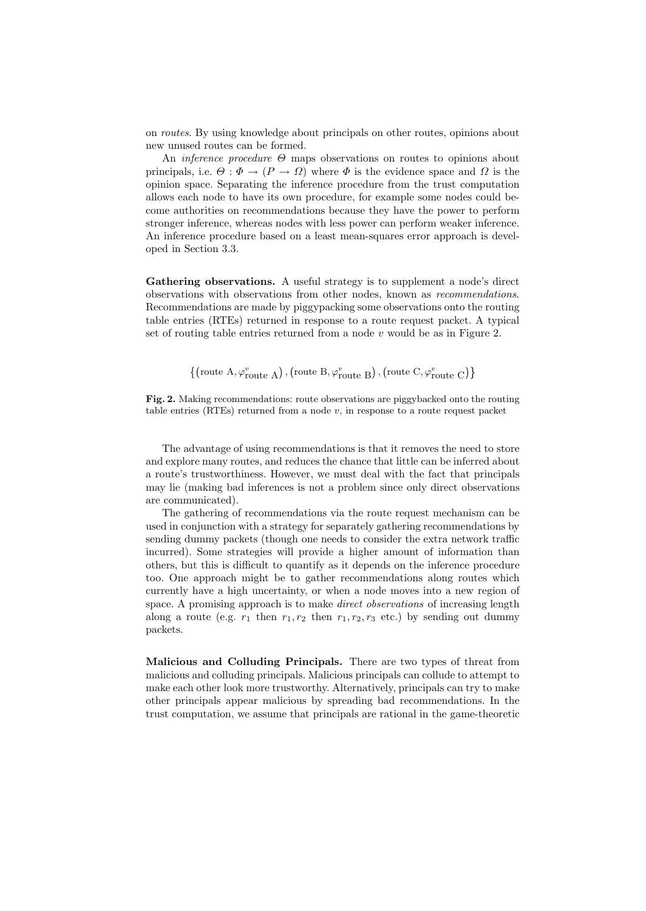on routes. By using knowledge about principals on other routes, opinions about new unused routes can be formed.

An *inference procedure*  $\Theta$  maps observations on routes to opinions about principals, i.e.  $\Theta : \Phi \to (P \to \Omega)$  where  $\Phi$  is the evidence space and  $\Omega$  is the opinion space. Separating the inference procedure from the trust computation allows each node to have its own procedure, for example some nodes could become authorities on recommendations because they have the power to perform stronger inference, whereas nodes with less power can perform weaker inference. An inference procedure based on a least mean-squares error approach is developed in Section 3.3.

Gathering observations. A useful strategy is to supplement a node's direct observations with observations from other nodes, known as recommendations. Recommendations are made by piggypacking some observations onto the routing table entries (RTEs) returned in response to a route request packet. A typical set of routing table entries returned from a node  $v$  would be as in Figure 2.

 $\lbrace \left(\text{route A}, \varphi_{\text{route A}}^{v}\right), \left(\text{route B}, \varphi_{\text{route B}}^{v}\right), \left(\text{route C}, \varphi_{\text{route C}}^{v}\right)\rbrace$ 

Fig. 2. Making recommendations: route observations are piggybacked onto the routing table entries (RTEs) returned from a node  $v$ , in response to a route request packet

The advantage of using recommendations is that it removes the need to store and explore many routes, and reduces the chance that little can be inferred about a route's trustworthiness. However, we must deal with the fact that principals may lie (making bad inferences is not a problem since only direct observations are communicated).

The gathering of recommendations via the route request mechanism can be used in conjunction with a strategy for separately gathering recommendations by sending dummy packets (though one needs to consider the extra network traffic incurred). Some strategies will provide a higher amount of information than others, but this is difficult to quantify as it depends on the inference procedure too. One approach might be to gather recommendations along routes which currently have a high uncertainty, or when a node moves into a new region of space. A promising approach is to make *direct observations* of increasing length along a route (e.g.  $r_1$  then  $r_1, r_2$  then  $r_1, r_2, r_3$  etc.) by sending out dummy packets.

Malicious and Colluding Principals. There are two types of threat from malicious and colluding principals. Malicious principals can collude to attempt to make each other look more trustworthy. Alternatively, principals can try to make other principals appear malicious by spreading bad recommendations. In the trust computation, we assume that principals are rational in the game-theoretic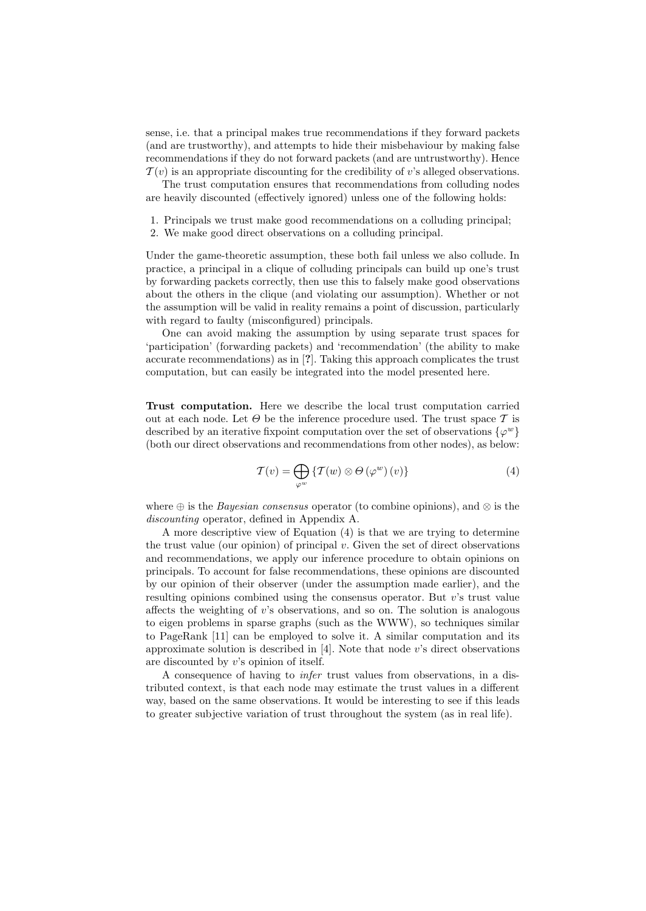sense, i.e. that a principal makes true recommendations if they forward packets (and are trustworthy), and attempts to hide their misbehaviour by making false recommendations if they do not forward packets (and are untrustworthy). Hence  $\mathcal{T}(v)$  is an appropriate discounting for the credibility of v's alleged observations.

The trust computation ensures that recommendations from colluding nodes are heavily discounted (effectively ignored) unless one of the following holds:

- 1. Principals we trust make good recommendations on a colluding principal;
- 2. We make good direct observations on a colluding principal.

Under the game-theoretic assumption, these both fail unless we also collude. In practice, a principal in a clique of colluding principals can build up one's trust by forwarding packets correctly, then use this to falsely make good observations about the others in the clique (and violating our assumption). Whether or not the assumption will be valid in reality remains a point of discussion, particularly with regard to faulty (misconfigured) principals.

One can avoid making the assumption by using separate trust spaces for 'participation' (forwarding packets) and 'recommendation' (the ability to make accurate recommendations) as in [?]. Taking this approach complicates the trust computation, but can easily be integrated into the model presented here.

Trust computation. Here we describe the local trust computation carried out at each node. Let  $\Theta$  be the inference procedure used. The trust space  $\mathcal T$  is described by an iterative fixpoint computation over the set of observations  $\{\varphi^w\}$ (both our direct observations and recommendations from other nodes), as below:

$$
\mathcal{T}(v) = \bigoplus_{\varphi^w} \{ \mathcal{T}(w) \otimes \Theta(\varphi^w)(v) \}
$$
 (4)

where  $\oplus$  is the *Bayesian consensus* operator (to combine opinions), and  $\otimes$  is the discounting operator, defined in Appendix A.

A more descriptive view of Equation (4) is that we are trying to determine the trust value (our opinion) of principal  $v$ . Given the set of direct observations and recommendations, we apply our inference procedure to obtain opinions on principals. To account for false recommendations, these opinions are discounted by our opinion of their observer (under the assumption made earlier), and the resulting opinions combined using the consensus operator. But v's trust value affects the weighting of  $v$ 's observations, and so on. The solution is analogous to eigen problems in sparse graphs (such as the WWW), so techniques similar to PageRank [11] can be employed to solve it. A similar computation and its approximate solution is described in [4]. Note that node v's direct observations are discounted by v's opinion of itself.

A consequence of having to infer trust values from observations, in a distributed context, is that each node may estimate the trust values in a different way, based on the same observations. It would be interesting to see if this leads to greater subjective variation of trust throughout the system (as in real life).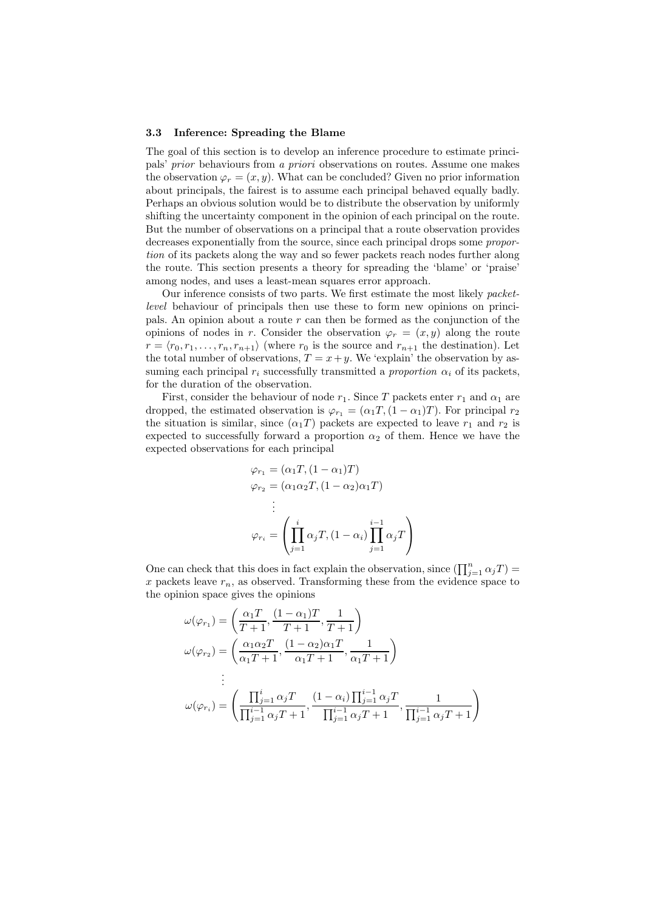#### 3.3 Inference: Spreading the Blame

The goal of this section is to develop an inference procedure to estimate principals' prior behaviours from a priori observations on routes. Assume one makes the observation  $\varphi_r = (x, y)$ . What can be concluded? Given no prior information about principals, the fairest is to assume each principal behaved equally badly. Perhaps an obvious solution would be to distribute the observation by uniformly shifting the uncertainty component in the opinion of each principal on the route. But the number of observations on a principal that a route observation provides decreases exponentially from the source, since each principal drops some *propor*tion of its packets along the way and so fewer packets reach nodes further along the route. This section presents a theory for spreading the 'blame' or 'praise' among nodes, and uses a least-mean squares error approach.

Our inference consists of two parts. We first estimate the most likely packetlevel behaviour of principals then use these to form new opinions on principals. An opinion about a route  $r$  can then be formed as the conjunction of the opinions of nodes in r. Consider the observation  $\varphi_r = (x, y)$  along the route  $r = \langle r_0, r_1, \ldots, r_n, r_{n+1} \rangle$  (where  $r_0$  is the source and  $r_{n+1}$  the destination). Let the total number of observations,  $T = x + y$ . We 'explain' the observation by assuming each principal  $r_i$  successfully transmitted a *proportion*  $\alpha_i$  of its packets, for the duration of the observation.

First, consider the behaviour of node  $r_1$ . Since T packets enter  $r_1$  and  $\alpha_1$  are dropped, the estimated observation is  $\varphi_{r_1} = (\alpha_1 T, (1 - \alpha_1)T)$ . For principal  $r_2$ the situation is similar, since  $(\alpha_1 T)$  packets are expected to leave  $r_1$  and  $r_2$  is expected to successfully forward a proportion  $\alpha_2$  of them. Hence we have the expected observations for each principal

$$
\varphi_{r_1} = (\alpha_1 T, (1 - \alpha_1) T)
$$
  
\n
$$
\varphi_{r_2} = (\alpha_1 \alpha_2 T, (1 - \alpha_2) \alpha_1 T)
$$
  
\n
$$
\vdots
$$
  
\n
$$
\varphi_{r_i} = \left( \prod_{j=1}^i \alpha_j T, (1 - \alpha_i) \prod_{j=1}^{i-1} \alpha_j T \right)
$$

One can check that this does in fact explain the observation, since  $(\prod_{j=1}^n \alpha_j T)$ x packets leave  $r_n$ , as observed. Transforming these from the evidence space to the opinion space gives the opinions

$$
\omega(\varphi_{r_1}) = \left(\frac{\alpha_1 T}{T+1}, \frac{(1-\alpha_1)T}{T+1}, \frac{1}{T+1}\right)
$$

$$
\omega(\varphi_{r_2}) = \left(\frac{\alpha_1 \alpha_2 T}{\alpha_1 T+1}, \frac{(1-\alpha_2) \alpha_1 T}{\alpha_1 T+1}, \frac{1}{\alpha_1 T+1}\right)
$$

$$
\vdots
$$

$$
\omega(\varphi_{r_i}) = \left(\frac{\prod_{j=1}^i \alpha_j T}{\prod_{j=1}^{i-1} \alpha_j T+1}, \frac{(1-\alpha_i) \prod_{j=1}^{i-1} \alpha_j T}{\prod_{j=1}^{i-1} \alpha_j T+1}, \frac{1}{\prod_{j=1}^{i-1} \alpha_j T+1}\right)
$$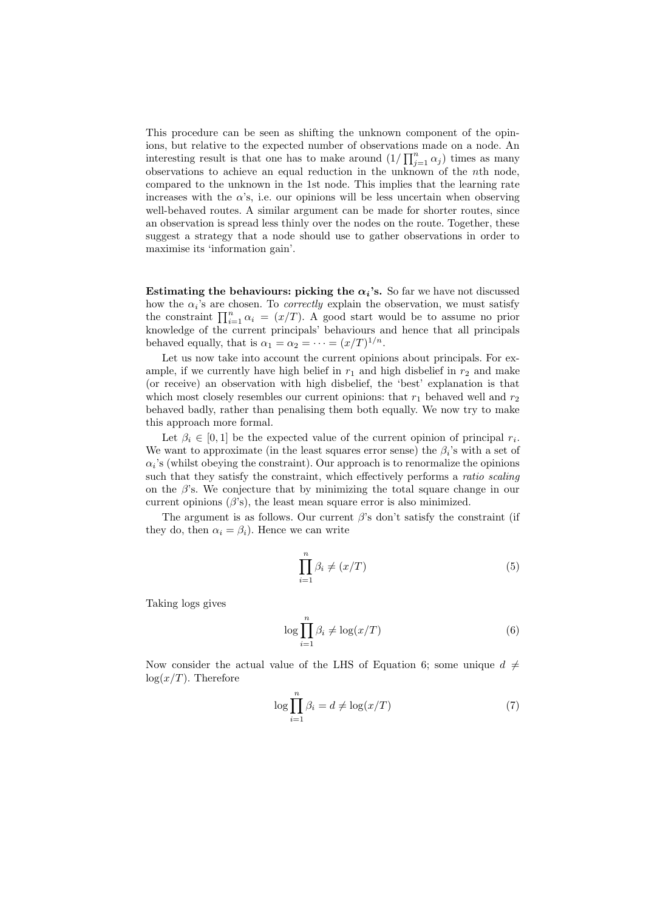This procedure can be seen as shifting the unknown component of the opinions, but relative to the expected number of observations made on a node. An interesting result is that one has to make around  $(1/\prod_{j=1}^n \alpha_j)$  times as many observations to achieve an equal reduction in the unknown of the nth node, compared to the unknown in the 1st node. This implies that the learning rate increases with the  $\alpha$ 's, i.e. our opinions will be less uncertain when observing well-behaved routes. A similar argument can be made for shorter routes, since an observation is spread less thinly over the nodes on the route. Together, these suggest a strategy that a node should use to gather observations in order to maximise its 'information gain'.

Estimating the behaviours: picking the  $\alpha_i$ 's. So far we have not discussed how the  $\alpha_i$ 's are chosen. To *correctly* explain the observation, we must satisfy the constraint  $\prod_{i=1}^{n} \alpha_i = (x/T)$ . A good start would be to assume no prior knowledge of the current principals' behaviours and hence that all principals behaved equally, that is  $\alpha_1 = \alpha_2 = \cdots = (x/T)^{1/n}$ .

Let us now take into account the current opinions about principals. For example, if we currently have high belief in  $r_1$  and high disbelief in  $r_2$  and make (or receive) an observation with high disbelief, the 'best' explanation is that which most closely resembles our current opinions: that  $r_1$  behaved well and  $r_2$ behaved badly, rather than penalising them both equally. We now try to make this approach more formal.

Let  $\beta_i \in [0,1]$  be the expected value of the current opinion of principal  $r_i$ . We want to approximate (in the least squares error sense) the  $\beta_i$ 's with a set of  $\alpha_i$ 's (whilst obeying the constraint). Our approach is to renormalize the opinions such that they satisfy the constraint, which effectively performs a *ratio scaling* on the  $\beta$ 's. We conjecture that by minimizing the total square change in our current opinions  $(\beta's)$ , the least mean square error is also minimized.

The argument is as follows. Our current  $\beta$ 's don't satisfy the constraint (if they do, then  $\alpha_i = \beta_i$ ). Hence we can write

$$
\prod_{i=1}^{n} \beta_i \neq (x/T) \tag{5}
$$

Taking logs gives

$$
\log \prod_{i=1}^{n} \beta_i \neq \log(x/T) \tag{6}
$$

Now consider the actual value of the LHS of Equation 6; some unique  $d \neq$  $log(x/T)$ . Therefore

$$
\log \prod_{i=1}^{n} \beta_i = d \neq \log(x/T) \tag{7}
$$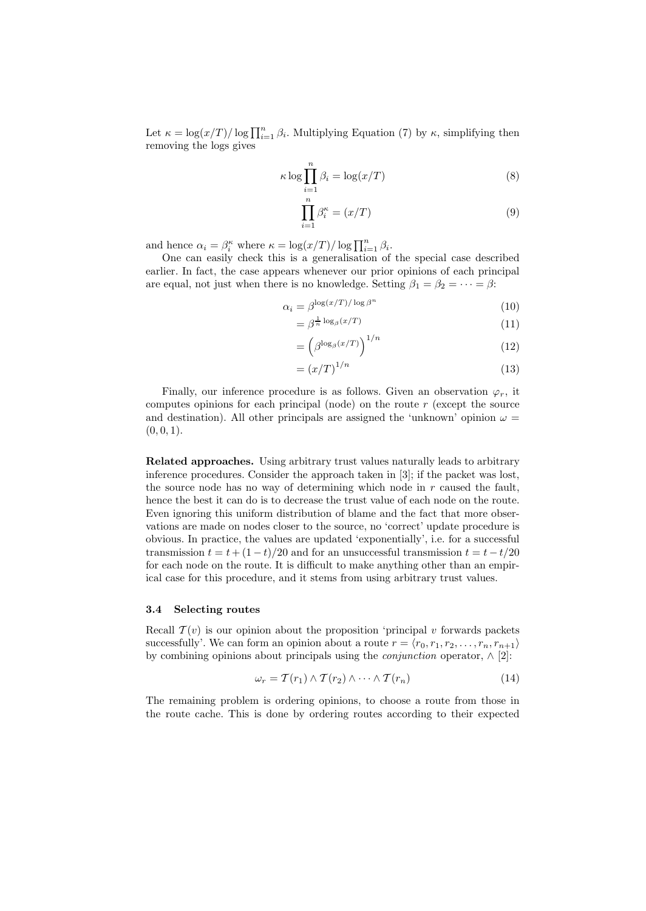Let  $\kappa = \log(x/T)/\log \prod_{i=1}^{n} \beta_i$ . Multiplying Equation (7) by  $\kappa$ , simplifying then removing the logs gives

$$
\kappa \log \prod_{i=1}^{n} \beta_i = \log(x/T) \tag{8}
$$

$$
\prod_{i=1}^{n} \beta_i^{\kappa} = (x/T) \tag{9}
$$

and hence  $\alpha_i = \beta_i^{\kappa}$  where  $\kappa = \log(x/T)/\log \prod_{i=1}^n \beta_i$ .

One can easily check this is a generalisation of the special case described earlier. In fact, the case appears whenever our prior opinions of each principal are equal, not just when there is no knowledge. Setting  $\beta_1 = \beta_2 = \cdots = \beta$ :

$$
\alpha_i = \beta^{\log(x/T)/\log \beta^n} \tag{10}
$$

$$
= \beta^{\frac{1}{n}\log_{\beta}(x/T)} \tag{11}
$$

$$
= \left(\beta^{\log_{\beta}(x/T)}\right)^{1/n} \tag{12}
$$

$$
=(x/T)^{1/n} \tag{13}
$$

Finally, our inference procedure is as follows. Given an observation  $\varphi_r$ , it computes opinions for each principal (node) on the route  $r$  (except the source and destination). All other principals are assigned the 'unknown' opinion  $\omega =$  $(0, 0, 1).$ 

Related approaches. Using arbitrary trust values naturally leads to arbitrary inference procedures. Consider the approach taken in [3]; if the packet was lost, the source node has no way of determining which node in  $r$  caused the fault, hence the best it can do is to decrease the trust value of each node on the route. Even ignoring this uniform distribution of blame and the fact that more observations are made on nodes closer to the source, no 'correct' update procedure is obvious. In practice, the values are updated 'exponentially', i.e. for a successful transmission  $t = t + (1 - t)/20$  and for an unsuccessful transmission  $t = t - t/20$ for each node on the route. It is difficult to make anything other than an empirical case for this procedure, and it stems from using arbitrary trust values.

#### 3.4 Selecting routes

Recall  $\mathcal{T}(v)$  is our opinion about the proposition 'principal v forwards packets successfully'. We can form an opinion about a route  $r = \langle r_0, r_1, r_2, \ldots, r_n, r_{n+1} \rangle$ by combining opinions about principals using the *conjunction* operator,  $\wedge$  [2]:

$$
\omega_r = \mathcal{T}(r_1) \wedge \mathcal{T}(r_2) \wedge \dots \wedge \mathcal{T}(r_n) \tag{14}
$$

The remaining problem is ordering opinions, to choose a route from those in the route cache. This is done by ordering routes according to their expected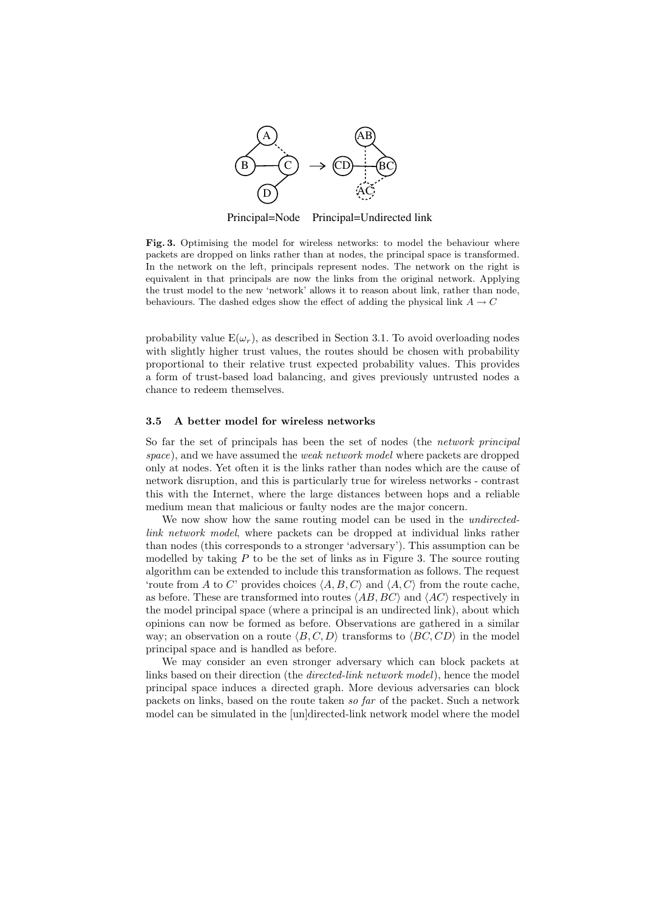

Principal=Node Principal=Undirected link

Fig. 3. Optimising the model for wireless networks: to model the behaviour where packets are dropped on links rather than at nodes, the principal space is transformed. In the network on the left, principals represent nodes. The network on the right is equivalent in that principals are now the links from the original network. Applying the trust model to the new 'network' allows it to reason about link, rather than node, behaviours. The dashed edges show the effect of adding the physical link  $A \rightarrow C$ 

probability value  $E(\omega_r)$ , as described in Section 3.1. To avoid overloading nodes with slightly higher trust values, the routes should be chosen with probability proportional to their relative trust expected probability values. This provides a form of trust-based load balancing, and gives previously untrusted nodes a chance to redeem themselves.

#### 3.5 A better model for wireless networks

So far the set of principals has been the set of nodes (the network principal space), and we have assumed the *weak network model* where packets are dropped only at nodes. Yet often it is the links rather than nodes which are the cause of network disruption, and this is particularly true for wireless networks - contrast this with the Internet, where the large distances between hops and a reliable medium mean that malicious or faulty nodes are the major concern.

We now show how the same routing model can be used in the *undirected*link network model, where packets can be dropped at individual links rather than nodes (this corresponds to a stronger 'adversary'). This assumption can be modelled by taking  $P$  to be the set of links as in Figure 3. The source routing algorithm can be extended to include this transformation as follows. The request 'route from A to C' provides choices  $\langle A, B, C \rangle$  and  $\langle A, C \rangle$  from the route cache, as before. These are transformed into routes  $\langle AB, BC \rangle$  and  $\langle AC \rangle$  respectively in the model principal space (where a principal is an undirected link), about which opinions can now be formed as before. Observations are gathered in a similar way; an observation on a route  $\langle B, C, D \rangle$  transforms to  $\langle BC, CD \rangle$  in the model principal space and is handled as before.

We may consider an even stronger adversary which can block packets at links based on their direction (the *directed-link network model*), hence the model principal space induces a directed graph. More devious adversaries can block packets on links, based on the route taken so far of the packet. Such a network model can be simulated in the [un]directed-link network model where the model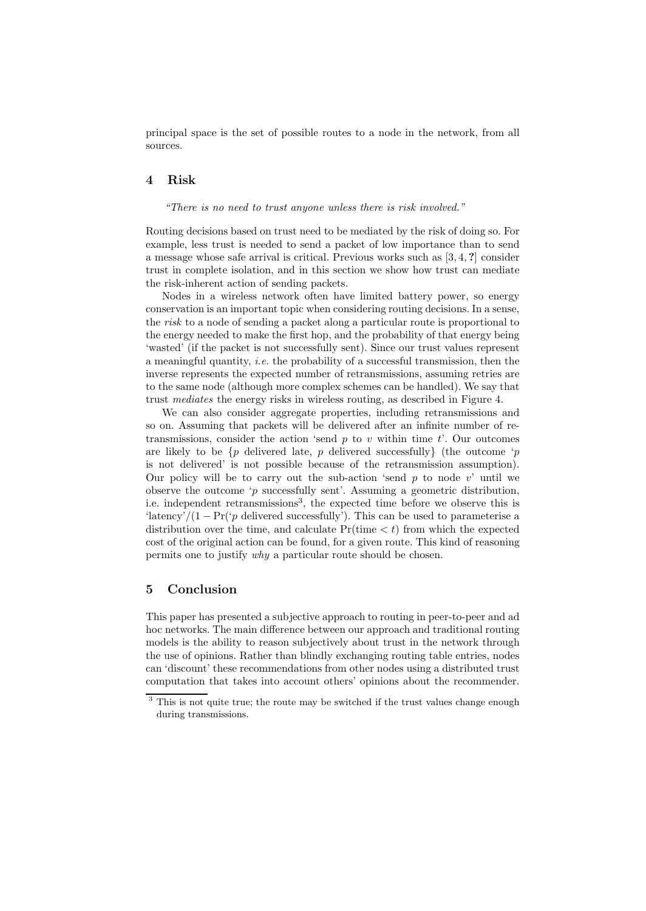principal space is the set of possible routes to a node in the network, from all sources.

### 4 Risk

#### "There is no need to trust anyone unless there is risk involved."

Routing decisions based on trust need to be mediated by the risk of doing so. For example, less trust is needed to send a packet of low importance than to send a message whose safe arrival is critical. Previous works such as [3, 4, ?] consider trust in complete isolation, and in this section we show how trust can mediate the risk-inherent action of sending packets.

Nodes in a wireless network often have limited battery power, so energy conservation is an important topic when considering routing decisions. In a sense, the risk to a node of sending a packet along a particular route is proportional to the energy needed to make the first hop, and the probability of that energy being 'wasted' (if the packet is not successfully sent). Since our trust values represent a meaningful quantity, *i.e.* the probability of a successful transmission, then the inverse represents the expected number of retransmissions, assuming retries are to the same node (although more complex schemes can be handled). We say that trust mediates the energy risks in wireless routing, as described in Figure 4.

We can also consider aggregate properties, including retransmissions and so on. Assuming that packets will be delivered after an infinite number of retransmissions, consider the action 'send  $p$  to  $v$  within time  $t'$ . Our outcomes are likely to be  $\{p\}$  delivered late, p delivered successfully (the outcome 'p is not delivered' is not possible because of the retransmission assumption). Our policy will be to carry out the sub-action 'send  $p$  to node  $v'$  until we observe the outcome 'p successfully sent'. Assuming a geometric distribution, i.e. independent retransmissions<sup>3</sup>, the expected time before we observe this is  $\frac{d}{dx}$ 'latency'/(1 – Pr('p delivered successfully'). This can be used to parameterise a distribution over the time, and calculate  $Pr(\text{time} < t)$  from which the expected cost of the original action can be found, for a given route. This kind of reasoning permits one to justify why a particular route should be chosen.

# 5 Conclusion

This paper has presented a subjective approach to routing in peer-to-peer and ad hoc networks. The main difference between our approach and traditional routing models is the ability to reason subjectively about trust in the network through the use of opinions. Rather than blindly exchanging routing table entries, nodes can 'discount' these recommendations from other nodes using a distributed trust computation that takes into account others' opinions about the recommender.

<sup>&</sup>lt;sup>3</sup> This is not quite true; the route may be switched if the trust values change enough during transmissions.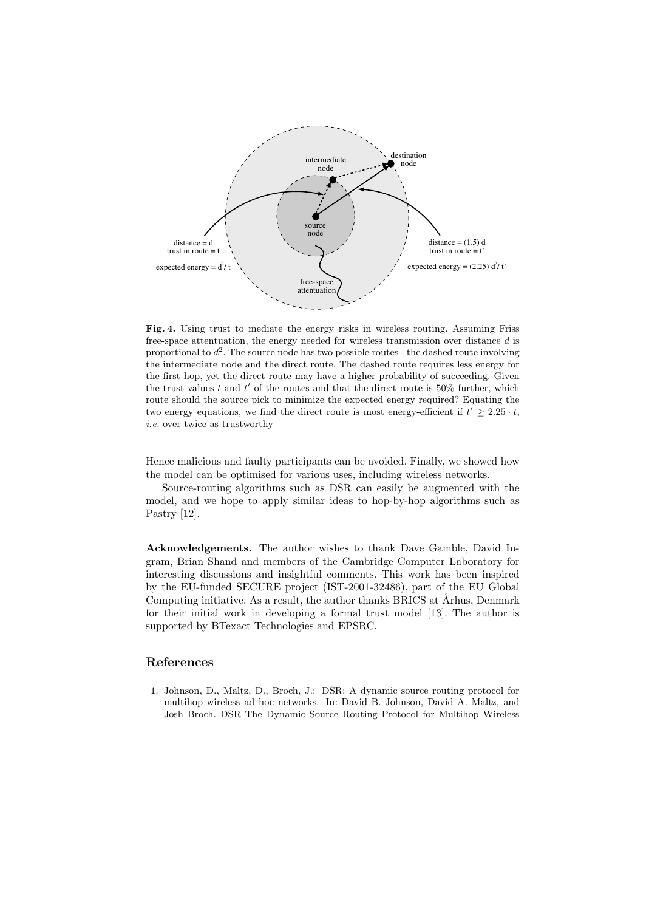

Fig. 4. Using trust to mediate the energy risks in wireless routing. Assuming Friss free-space attentuation, the energy needed for wireless transmission over distance  $d$  is proportional to  $d^2$ . The source node has two possible routes - the dashed route involving the intermediate node and the direct route. The dashed route requires less energy for the first hop, yet the direct route may have a higher probability of succeeding. Given the trust values t and t' of the routes and that the direct route is  $50\%$  further, which route should the source pick to minimize the expected energy required? Equating the two energy equations, we find the direct route is most energy-efficient if  $t' \geq 2.25 \cdot t$ , i.e. over twice as trustworthy

Hence malicious and faulty participants can be avoided. Finally, we showed how the model can be optimised for various uses, including wireless networks.

Source-routing algorithms such as DSR can easily be augmented with the model, and we hope to apply similar ideas to hop-by-hop algorithms such as Pastry [12].

Acknowledgements. The author wishes to thank Dave Gamble, David Ingram, Brian Shand and members of the Cambridge Computer Laboratory for interesting discussions and insightful comments. This work has been inspired by the EU-funded SECURE project (IST-2001-32486), part of the EU Global Computing initiative. As a result, the author thanks BRICS at Århus, Denmark for their initial work in developing a formal trust model [13]. The author is supported by BTexact Technologies and EPSRC.

# References

1. Johnson, D., Maltz, D., Broch, J.: DSR: A dynamic source routing protocol for multihop wireless ad hoc networks. In: David B. Johnson, David A. Maltz, and Josh Broch. DSR The Dynamic Source Routing Protocol for Multihop Wireless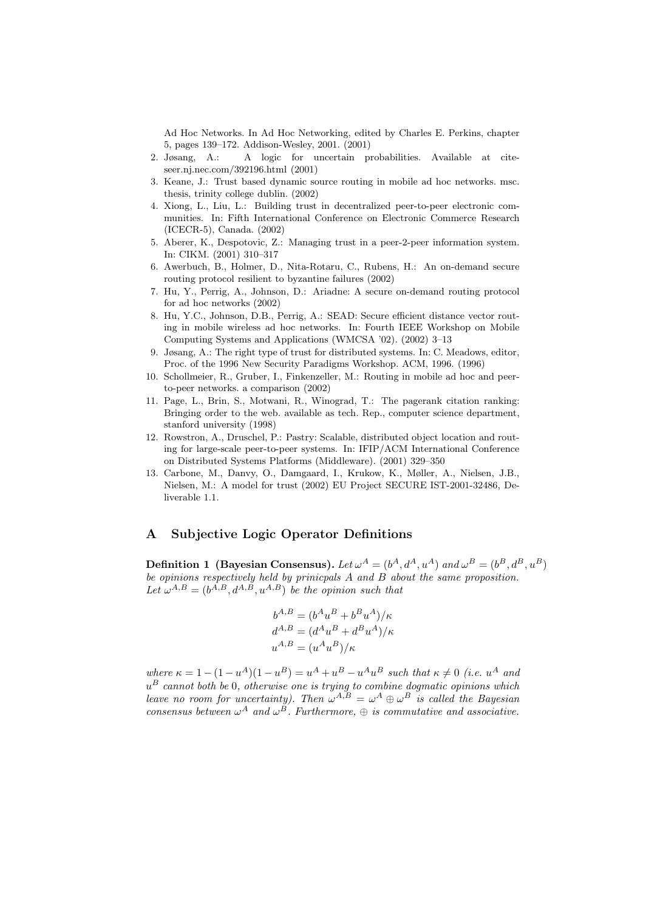Ad Hoc Networks. In Ad Hoc Networking, edited by Charles E. Perkins, chapter 5, pages 139–172. Addison-Wesley, 2001. (2001)

- 2. Jøsang, A.: A logic for uncertain probabilities. Available at citeseer.nj.nec.com/392196.html (2001)
- 3. Keane, J.: Trust based dynamic source routing in mobile ad hoc networks. msc. thesis, trinity college dublin. (2002)
- 4. Xiong, L., Liu, L.: Building trust in decentralized peer-to-peer electronic communities. In: Fifth International Conference on Electronic Commerce Research (ICECR-5), Canada. (2002)
- 5. Aberer, K., Despotovic, Z.: Managing trust in a peer-2-peer information system. In: CIKM. (2001) 310–317
- 6. Awerbuch, B., Holmer, D., Nita-Rotaru, C., Rubens, H.: An on-demand secure routing protocol resilient to byzantine failures (2002)
- 7. Hu, Y., Perrig, A., Johnson, D.: Ariadne: A secure on-demand routing protocol for ad hoc networks (2002)
- 8. Hu, Y.C., Johnson, D.B., Perrig, A.: SEAD: Secure efficient distance vector routing in mobile wireless ad hoc networks. In: Fourth IEEE Workshop on Mobile Computing Systems and Applications (WMCSA '02). (2002) 3–13
- 9. Jøsang, A.: The right type of trust for distributed systems. In: C. Meadows, editor, Proc. of the 1996 New Security Paradigms Workshop. ACM, 1996. (1996)
- 10. Schollmeier, R., Gruber, I., Finkenzeller, M.: Routing in mobile ad hoc and peerto-peer networks. a comparison (2002)
- 11. Page, L., Brin, S., Motwani, R., Winograd, T.: The pagerank citation ranking: Bringing order to the web. available as tech. Rep., computer science department, stanford university (1998)
- 12. Rowstron, A., Druschel, P.: Pastry: Scalable, distributed object location and routing for large-scale peer-to-peer systems. In: IFIP/ACM International Conference on Distributed Systems Platforms (Middleware). (2001) 329–350
- 13. Carbone, M., Danvy, O., Damgaard, I., Krukow, K., Møller, A., Nielsen, J.B., Nielsen, M.: A model for trust (2002) EU Project SECURE IST-2001-32486, Deliverable 1.1.

### A Subjective Logic Operator Definitions

**Definition 1** (Bayesian Consensus). Let  $\omega^A = (b^A, d^A, u^A)$  and  $\omega^B = (b^B, d^B, u^B)$ be opinions respectively held by prinicpals A and B about the same proposition. Let  $\omega^{A,B} = (b^{A,B}, d^{A,B}, u^{A,B})$  be the opinion such that

$$
b^{A,B} = (b^A u^B + b^B u^A)/\kappa
$$
  

$$
d^{A,B} = (d^A u^B + d^B u^A)/\kappa
$$
  

$$
u^{A,B} = (u^A u^B)/\kappa
$$

where  $\kappa = 1 - (1 - u^A)(1 - u^B) = u^A + u^B - u^A u^B$  such that  $\kappa \neq 0$  (i.e.  $u^A$  and  $u^B$  cannot both be 0, otherwise one is trying to combine dogmatic opinions which leave no room for uncertainty). Then  $\omega^{A,B} = \omega^A \oplus \omega^B$  is called the Bayesian consensus between  $\omega^A$  and  $\omega^B$ . Furthermore,  $\oplus$  is commutative and associative.